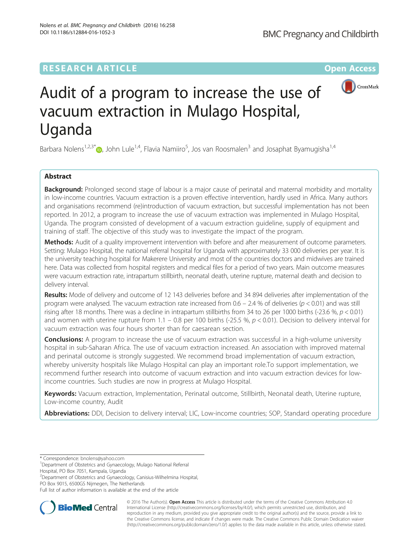# **RESEARCH ARTICLE Example 2014 12:30 The Company Access** (RESEARCH ARTICLE



# Audit of a program to increase the use of vacuum extraction in Mulago Hospital, Uganda

Barbara Nolens<sup>1,2,3[\\*](http://orcid.org/0000-0001-9542-9392)</sup> $\bm{\mathbb{D}},$  John Lule<sup>1,4</sup>, Flavia Namiiro<sup>5</sup>, Jos van Roosmalen<sup>3</sup> and Josaphat Byamugisha<sup>1,4</sup>

# Abstract

**Background:** Prolonged second stage of labour is a major cause of perinatal and maternal morbidity and mortality in low-income countries. Vacuum extraction is a proven effective intervention, hardly used in Africa. Many authors and organisations recommend (re)introduction of vacuum extraction, but successful implementation has not been reported. In 2012, a program to increase the use of vacuum extraction was implemented in Mulago Hospital, Uganda. The program consisted of development of a vacuum extraction guideline, supply of equipment and training of staff. The objective of this study was to investigate the impact of the program.

Methods: Audit of a quality improvement intervention with before and after measurement of outcome parameters. Setting: Mulago Hospital, the national referral hospital for Uganda with approximately 33 000 deliveries per year. It is the university teaching hospital for Makerere University and most of the countries doctors and midwives are trained here. Data was collected from hospital registers and medical files for a period of two years. Main outcome measures were vacuum extraction rate, intrapartum stillbirth, neonatal death, uterine rupture, maternal death and decision to delivery interval.

Results: Mode of delivery and outcome of 12 143 deliveries before and 34 894 deliveries after implementation of the program were analysed. The vacuum extraction rate increased from  $0.6 - 2.4$  % of deliveries ( $p < 0.01$ ) and was still rising after 18 months. There was a decline in intrapartum stillbirths from 34 to 26 per 1000 births (-23.6 %,  $p < 0.01$ ) and women with uterine rupture from  $1.1 - 0.8$  per 100 births (-25.5 %,  $p < 0.01$ ). Decision to delivery interval for vacuum extraction was four hours shorter than for caesarean section.

**Conclusions:** A program to increase the use of vacuum extraction was successful in a high-volume university hospital in sub-Saharan Africa. The use of vacuum extraction increased. An association with improved maternal and perinatal outcome is strongly suggested. We recommend broad implementation of vacuum extraction, whereby university hospitals like Mulago Hospital can play an important role.To support implementation, we recommend further research into outcome of vacuum extraction and into vacuum extraction devices for lowincome countries. Such studies are now in progress at Mulago Hospital.

Keywords: Vacuum extraction, Implementation, Perinatal outcome, Stillbirth, Neonatal death, Uterine rupture, Low-income country, Audit

Abbreviations: DDI, Decision to delivery interval; LIC, Low-income countries; SOP, Standard operating procedure

<sup>1</sup>Department of Obstetrics and Gynaecology, Mulago National Referral

Hospital, PO Box 7051, Kampala, Uganda

2 Department of Obstetrics and Gynaecology, Canisius-Wilhelmina Hospital, PO Box 9015, 6500GS Nijmegen, The Netherlands

Full list of author information is available at the end of the article



© 2016 The Author(s). Open Access This article is distributed under the terms of the Creative Commons Attribution 4.0 International License [\(http://creativecommons.org/licenses/by/4.0/](http://creativecommons.org/licenses/by/4.0/)), which permits unrestricted use, distribution, and reproduction in any medium, provided you give appropriate credit to the original author(s) and the source, provide a link to the Creative Commons license, and indicate if changes were made. The Creative Commons Public Domain Dedication waiver [\(http://creativecommons.org/publicdomain/zero/1.0/](http://creativecommons.org/publicdomain/zero/1.0/)) applies to the data made available in this article, unless otherwise stated.

<sup>\*</sup> Correspondence: [bnolens@yahoo.com](mailto:bnolens@yahoo.com) <sup>1</sup>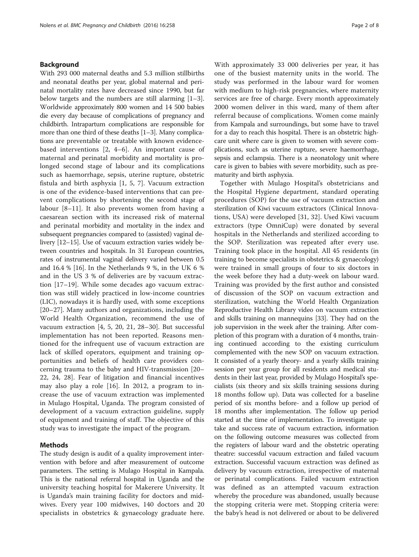# Background

With 293 000 maternal deaths and 5.3 million stillbirths and neonatal deaths per year, global maternal and perinatal mortality rates have decreased since 1990, but far below targets and the numbers are still alarming [\[1](#page-6-0)–[3](#page-6-0)]. Worldwide approximately 800 women and 14 500 babies die every day because of complications of pregnancy and childbirth. Intrapartum complications are responsible for more than one third of these deaths [\[1](#page-6-0)–[3](#page-6-0)]. Many complications are preventable or treatable with known evidencebased interventions [\[2](#page-6-0), [4](#page-6-0)–[6](#page-6-0)]. An important cause of maternal and perinatal morbidity and mortality is prolonged second stage of labour and its complications such as haemorrhage, sepsis, uterine rupture, obstetric fistula and birth asphyxia [[1, 5](#page-6-0), [7\]](#page-6-0). Vacuum extraction is one of the evidence-based interventions that can prevent complications by shortening the second stage of labour [\[8](#page-6-0)–[11](#page-6-0)]. It also prevents women from having a caesarean section with its increased risk of maternal and perinatal morbidity and mortality in the index and subsequent pregnancies compared to (assisted) vaginal delivery [\[12](#page-6-0)–[15](#page-6-0)]. Use of vacuum extraction varies widely between countries and hospitals. In 31 European countries, rates of instrumental vaginal delivery varied between 0.5 and 16.4 % [\[16\]](#page-6-0). In the Netherlands 9 %, in the UK 6 % and in the US 3 % of deliveries are by vacuum extraction [\[17](#page-6-0)–[19](#page-6-0)]. While some decades ago vacuum extraction was still widely practiced in low-income countries (LIC), nowadays it is hardly used, with some exceptions [[20](#page-6-0)–[27\]](#page-6-0). Many authors and organizations, including the World Health Organization, recommend the use of vacuum extraction [[4, 5, 20, 21, 28](#page-6-0)–[30\]](#page-6-0). But successful implementation has not been reported. Reasons mentioned for the infrequent use of vacuum extraction are lack of skilled operators, equipment and training opportunities and beliefs of health care providers concerning trauma to the baby and HIV-transmission [[20](#page-6-0)– [22, 24, 28\]](#page-6-0). Fear of litigation and financial incentives may also play a role [[16\]](#page-6-0). In 2012, a program to increase the use of vacuum extraction was implemented in Mulago Hospital, Uganda. The program consisted of development of a vacuum extraction guideline, supply of equipment and training of staff. The objective of this study was to investigate the impact of the program.

# Methods

The study design is audit of a quality improvement intervention with before and after measurement of outcome parameters. The setting is Mulago Hospital in Kampala. This is the national referral hospital in Uganda and the university teaching hospital for Makerere University. It is Uganda's main training facility for doctors and midwives. Every year 100 midwives, 140 doctors and 20 specialists in obstetrics & gynaecology graduate here.

With approximately 33 000 deliveries per year, it has one of the busiest maternity units in the world. The study was performed in the labour ward for women with medium to high-risk pregnancies, where maternity services are free of charge. Every month approximately 2000 women deliver in this ward, many of them after referral because of complications. Women come mainly from Kampala and surroundings, but some have to travel for a day to reach this hospital. There is an obstetric highcare unit where care is given to women with severe complications, such as uterine rupture, severe haemorrhage, sepsis and eclampsia. There is a neonatology unit where care is given to babies with severe morbidity, such as prematurity and birth asphyxia.

Together with Mulago Hospital's obstetricians and the Hospital Hygiene department, standard operating procedures (SOP) for the use of vacuum extraction and sterilization of Kiwi vacuum extractors (Clinical Innovations, USA) were developed [[31, 32](#page-6-0)]. Used Kiwi vacuum extractors (type OmniCup) were donated by several hospitals in the Netherlands and sterilized according to the SOP. Sterilization was repeated after every use. Training took place in the hospital. All 45 residents (in training to become specialists in obstetrics & gynaecology) were trained in small groups of four to six doctors in the week before they had a duty-week on labour ward. Training was provided by the first author and consisted of discussion of the SOP on vacuum extraction and sterilization, watching the World Health Organization Reproductive Health Library video on vacuum extraction and skills training on mannequins [\[33\]](#page-6-0). They had on the job supervision in the week after the training. After completion of this program with a duration of 4 months, training continued according to the existing curriculum complemented with the new SOP on vacuum extraction. It consisted of a yearly theory- and a yearly skills training session per year group for all residents and medical students in their last year, provided by Mulago Hospital's specialists (six theory and six skills training sessions during 18 months follow up). Data was collected for a baseline period of six months before- and a follow up period of 18 months after implementation. The follow up period started at the time of implementation. To investigate uptake and success rate of vacuum extraction, information on the following outcome measures was collected from the registers of labour ward and the obstetric operating theatre: successful vacuum extraction and failed vacuum extraction. Successful vacuum extraction was defined as delivery by vacuum extraction, irrespective of maternal or perinatal complications. Failed vacuum extraction was defined as an attempted vacuum extraction whereby the procedure was abandoned, usually because the stopping criteria were met. Stopping criteria were: the baby's head is not delivered or about to be delivered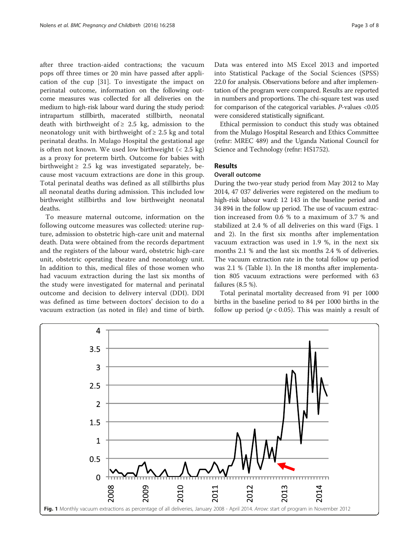after three traction-aided contractions; the vacuum pops off three times or 20 min have passed after application of the cup [[31](#page-6-0)]. To investigate the impact on perinatal outcome, information on the following outcome measures was collected for all deliveries on the medium to high-risk labour ward during the study period: intrapartum stillbirth, macerated stillbirth, neonatal death with birthweight of  $\geq 2.5$  kg, admission to the neonatology unit with birthweight of  $\geq 2.5$  kg and total perinatal deaths. In Mulago Hospital the gestational age is often not known. We used low birthweight (< 2.5 kg) as a proxy for preterm birth. Outcome for babies with birthweight  $\geq 2.5$  kg was investigated separately, because most vacuum extractions are done in this group. Total perinatal deaths was defined as all stillbirths plus all neonatal deaths during admission. This included low birthweight stillbirths and low birthweight neonatal deaths.

To measure maternal outcome, information on the following outcome measures was collected: uterine rupture, admission to obstetric high-care unit and maternal death. Data were obtained from the records department and the registers of the labour ward, obstetric high-care unit, obstetric operating theatre and neonatology unit. In addition to this, medical files of those women who had vacuum extraction during the last six months of the study were investigated for maternal and perinatal outcome and decision to delivery interval (DDI). DDI was defined as time between doctors' decision to do a vacuum extraction (as noted in file) and time of birth.

Data was entered into MS Excel 2013 and imported into Statistical Package of the Social Sciences (SPSS) 22.0 for analysis. Observations before and after implementation of the program were compared. Results are reported in numbers and proportions. The chi-square test was used for comparison of the categorical variables. P-values <0.05 were considered statistically significant.

Ethical permission to conduct this study was obtained from the Mulago Hospital Research and Ethics Committee (refnr: MREC 489) and the Uganda National Council for Science and Technology (refnr: HS1752).

# **Results**

# Overall outcome

During the two-year study period from May 2012 to May 2014, 47 037 deliveries were registered on the medium to high-risk labour ward: 12 143 in the baseline period and 34 894 in the follow up period. The use of vacuum extraction increased from 0.6 % to a maximum of 3.7 % and stabilized at 2.4 % of all deliveries on this ward (Figs. 1 and [2](#page-3-0)). In the first six months after implementation vacuum extraction was used in 1.9 %, in the next six months 2.1 % and the last six months 2.4 % of deliveries. The vacuum extraction rate in the total follow up period was 2.1 % (Table [1\)](#page-3-0). In the 18 months after implementation 805 vacuum extractions were performed with 63 failures (8.5 %).

Total perinatal mortality decreased from 91 per 1000 births in the baseline period to 84 per 1000 births in the follow up period ( $p < 0.05$ ). This was mainly a result of

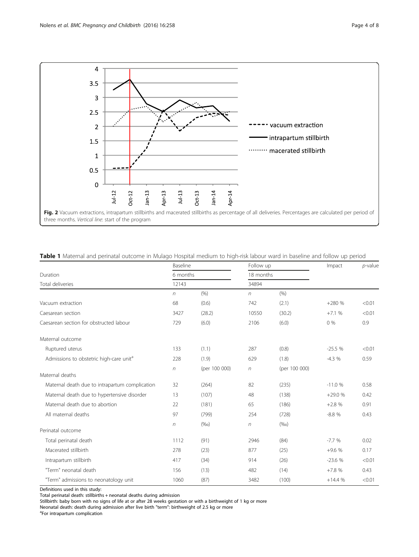<span id="page-3-0"></span>

|  |  |  |  | <b>Table 1</b> Maternal and perinatal outcome in Mulago Hospital medium to high-risk labour ward in baseline and follow up period |  |
|--|--|--|--|-----------------------------------------------------------------------------------------------------------------------------------|--|
|  |  |  |  |                                                                                                                                   |  |

|                                                     | Baseline |               | Follow up  |               | Impact   | $p$ -value |
|-----------------------------------------------------|----------|---------------|------------|---------------|----------|------------|
| Duration                                            | 6 months |               | 18 months  |               |          |            |
| Total deliveries                                    | 12143    |               | 34894      |               |          |            |
|                                                     | $\eta$   | (9/6)         | $\sqrt{n}$ | (9/0)         |          |            |
| Vacuum extraction                                   | 68       | (0.6)         | 742        | (2.1)         | $+280%$  | < 0.01     |
| Caesarean section                                   | 3427     | (28.2)        | 10550      | (30.2)        | $+7.1%$  | < 0.01     |
| Caesarean section for obstructed labour             | 729      | (6.0)         | 2106       | (6.0)         | 0%       | 0.9        |
| Maternal outcome                                    |          |               |            |               |          |            |
| Ruptured uterus                                     | 133      | (1.1)         | 287        | (0.8)         | $-25.5%$ | < 0.01     |
| Admissions to obstetric high-care unit <sup>a</sup> | 228      | (1.9)         | 629        | (1.8)         | $-4.3%$  | 0.59       |
|                                                     | $\eta$   | (per 100 000) | $\eta$     | (per 100 000) |          |            |
| Maternal deaths                                     |          |               |            |               |          |            |
| Maternal death due to intrapartum complication      | 32       | (264)         | 82         | (235)         | $-11.0%$ | 0.58       |
| Maternal death due to hypertensive disorder         | 13       | (107)         | 48         | (138)         | $+29.0%$ | 0.42       |
| Maternal death due to abortion                      | 22       | (181)         | 65         | (186)         | $+2.8%$  | 0.91       |
| All maternal deaths                                 | 97       | (799)         | 254        | (728)         | $-8.8%$  | 0.43       |
|                                                     | $\eta$   | (%o)          | $\eta$     | (%o)          |          |            |
| Perinatal outcome                                   |          |               |            |               |          |            |
| Total perinatal death                               | 1112     | (91)          | 2946       | (84)          | $-7.7%$  | 0.02       |
| Macerated stillbirth                                | 278      | (23)          | 877        | (25)          | $+9.6%$  | 0.17       |
| Intrapartum stillbirth                              | 417      | (34)          | 914        | (26)          | $-23.6%$ | < 0.01     |
| "Term" neonatal death                               | 156      | (13)          | 482        | (14)          | $+7.8%$  | 0.43       |
| "Term" admissions to neonatology unit               | 1060     | (87)          | 3482       | (100)         | $+14.4%$ | < 0.01     |

Definitions used in this study:

Total perinatal death: stillbirths + neonatal deaths during admission

Stillbirth: baby born with no signs of life at or after 28 weeks gestation or with a birthweight of 1 kg or more

Neonatal death: death during admission after live birth "term": birthweight of 2.5 kg or more

<sup>a</sup>For intrapartum complication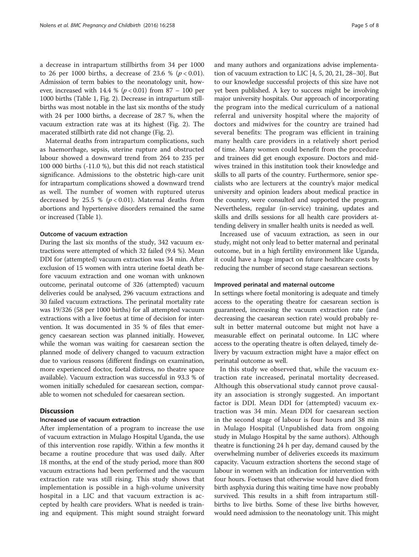a decrease in intrapartum stillbirths from 34 per 1000 to 26 per 1000 births, a decrease of 23.6 % ( $p < 0.01$ ). Admission of term babies to the neonatology unit, however, increased with 14.4 % ( $p < 0.01$ ) from 87 – 100 per 1000 births (Table [1](#page-3-0), Fig. [2](#page-3-0)). Decrease in intrapartum stillbirths was most notable in the last six months of the study with 24 per 1000 births, a decrease of 28.7 %, when the vacuum extraction rate was at its highest (Fig. [2\)](#page-3-0). The macerated stillbirth rate did not change (Fig. [2\)](#page-3-0).

Maternal deaths from intrapartum complications, such as haemorrhage, sepsis, uterine rupture and obstructed labour showed a downward trend from 264 to 235 per 100 000 births (-11.0 %), but this did not reach statistical significance. Admissions to the obstetric high-care unit for intrapartum complications showed a downward trend as well. The number of women with ruptured uterus decreased by 25.5 % ( $p < 0.01$ ). Maternal deaths from abortions and hypertensive disorders remained the same or increased (Table [1](#page-3-0)).

# Outcome of vacuum extraction

During the last six months of the study, 342 vacuum extractions were attempted of which 32 failed (9.4 %). Mean DDI for (attempted) vacuum extraction was 34 min. After exclusion of 15 women with intra uterine foetal death before vacuum extraction and one woman with unknown outcome, perinatal outcome of 326 (attempted) vacuum deliveries could be analysed, 296 vacuum extractions and 30 failed vacuum extractions. The perinatal mortality rate was 19/326 (58 per 1000 births) for all attempted vacuum extractions with a live foetus at time of decision for intervention. It was documented in 35 % of files that emergency caesarean section was planned initially. However, while the woman was waiting for caesarean section the planned mode of delivery changed to vacuum extraction due to various reasons (different findings on examination, more experienced doctor, foetal distress, no theatre space available). Vacuum extraction was successful in 93.3 % of women initially scheduled for caesarean section, comparable to women not scheduled for caesarean section.

# Discussion

### Increased use of vacuum extraction

After implementation of a program to increase the use of vacuum extraction in Mulago Hospital Uganda, the use of this intervention rose rapidly. Within a few months it became a routine procedure that was used daily. After 18 months, at the end of the study period, more than 800 vacuum extractions had been performed and the vacuum extraction rate was still rising. This study shows that implementation is possible in a high-volume university hospital in a LIC and that vacuum extraction is accepted by health care providers. What is needed is training and equipment. This might sound straight forward and many authors and organizations advise implementation of vacuum extraction to LIC [\[4](#page-6-0), [5, 20](#page-6-0), [21, 28](#page-6-0)–[30\]](#page-6-0). But to our knowledge successful projects of this size have not yet been published. A key to success might be involving major university hospitals. Our approach of incorporating the program into the medical curriculum of a national referral and university hospital where the majority of doctors and midwives for the country are trained had several benefits: The program was efficient in training many health care providers in a relatively short period of time. Many women could benefit from the procedure and trainees did get enough exposure. Doctors and midwives trained in this institution took their knowledge and skills to all parts of the country. Furthermore, senior specialists who are lecturers at the country's major medical university and opinion leaders about medical practice in the country, were consulted and supported the program. Nevertheless, regular (in-service) training, updates and skills and drills sessions for all health care providers attending delivery in smaller health units is needed as well.

Increased use of vacuum extraction, as seen in our study, might not only lead to better maternal and perinatal outcome, but in a high fertility environment like Uganda, it could have a huge impact on future healthcare costs by reducing the number of second stage caesarean sections.

### Improved perinatal and maternal outcome

In settings where foetal monitoring is adequate and timely access to the operating theatre for caesarean section is guaranteed, increasing the vacuum extraction rate (and decreasing the caesarean section rate) would probably result in better maternal outcome but might not have a measurable effect on perinatal outcome. In LIC where access to the operating theatre is often delayed, timely delivery by vacuum extraction might have a major effect on perinatal outcome as well.

In this study we observed that, while the vacuum extraction rate increased, perinatal mortality decreased. Although this observational study cannot prove causality an association is strongly suggested. An important factor is DDI. Mean DDI for (attempted) vacuum extraction was 34 min. Mean DDI for caesarean section in the second stage of labour is four hours and 38 min in Mulago Hospital (Unpublished data from ongoing study in Mulago Hospital by the same authors). Although theatre is functioning 24 h per day, demand caused by the overwhelming number of deliveries exceeds its maximum capacity. Vacuum extraction shortens the second stage of labour in women with an indication for intervention with four hours. Foetuses that otherwise would have died from birth asphyxia during this waiting time have now probably survived. This results in a shift from intrapartum stillbirths to live births. Some of these live births however, would need admission to the neonatology unit. This might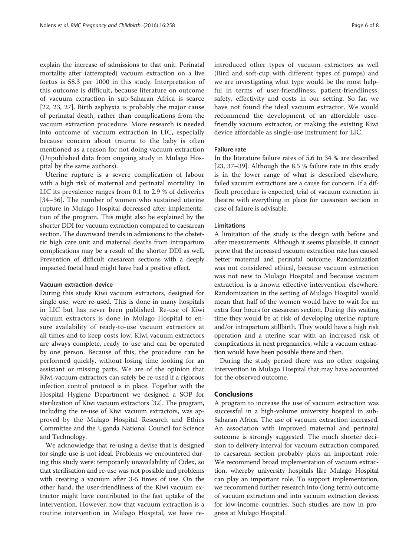explain the increase of admissions to that unit. Perinatal mortality after (attempted) vacuum extraction on a live foetus is 58.3 per 1000 in this study. Interpretation of this outcome is difficult, because literature on outcome of vacuum extraction in sub-Saharan Africa is scarce [[22, 23, 27](#page-6-0)]. Birth asphyxia is probably the major cause of perinatal death, rather than complications from the vacuum extraction procedure. More research is needed into outcome of vacuum extraction in LIC, especially because concern about trauma to the baby is often mentioned as a reason for not doing vacuum extraction (Unpublished data from ongoing study in Mulago Hospital by the same authors).

Uterine rupture is a severe complication of labour with a high risk of maternal and perinatal mortality. In LIC its prevalence ranges from 0.1 to 2.9 % of deliveries [[34](#page-7-0)–[36\]](#page-7-0). The number of women who sustained uterine rupture in Mulago Hospital decreased after implementation of the program. This might also be explained by the shorter DDI for vacuum extraction compared to caesarean section. The downward trends in admissions to the obstetric high care unit and maternal deaths from intrapartum complications may be a result of the shorter DDI as well. Prevention of difficult caesarean sections with a deeply impacted foetal head might have had a positive effect.

# Vacuum extraction device

During this study Kiwi vacuum extractors, designed for single use, were re-used. This is done in many hospitals in LIC but has never been published. Re-use of Kiwi vacuum extractors is done in Mulago Hospital to ensure availability of ready-to-use vacuum extractors at all times and to keep costs low. Kiwi vacuum extractors are always complete, ready to use and can be operated by one person. Because of this, the procedure can be performed quickly, without losing time looking for an assistant or missing parts. We are of the opinion that Kiwi-vacuum extractors can safely be re-used if a rigorous infection control protocol is in place. Together with the Hospital Hygiene Department we designed a SOP for sterilization of Kiwi vacuum extractors [[32](#page-6-0)]. The program, including the re-use of Kiwi vacuum extractors, was approved by the Mulago Hospital Research and Ethics Committee and the Uganda National Council for Science and Technology.

We acknowledge that re-using a devise that is designed for single use is not ideal. Problems we encountered during this study were: temporarily unavailability of Cidex, so that sterilisation and re-use was not possible and problems with creating a vacuum after 3-5 times of use. On the other hand, the user-friendliness of the Kiwi vacuum extractor might have contributed to the fast uptake of the intervention. However, now that vacuum extraction is a routine intervention in Mulago Hospital, we have reintroduced other types of vacuum extractors as well (Bird and soft-cup with different types of pumps) and we are investigating what type would be the most helpful in terms of user-friendliness, patient-friendliness, safety, effectivity and costs in our setting. So far, we have not found the ideal vacuum extractor. We would recommend the development of an affordable userfriendly vacuum extractor, or making the existing Kiwi device affordable as single-use instrument for LIC.

# Failure rate

In the literature failure rates of 5.6 to 34 % are described [[23,](#page-6-0) [37](#page-7-0)–[39\]](#page-7-0). Although the 8.5 % failure rate in this study is in the lower range of what is described elsewhere, failed vacuum extractions are a cause for concern. If a difficult procedure is expected, trial of vacuum extraction in theatre with everything in place for caesarean section in case of failure is advisable.

# **Limitations**

A limitation of the study is the design with before and after measurements. Although it seems plausible, it cannot prove that the increased vacuum extraction rate has caused better maternal and perinatal outcome. Randomization was not considered ethical, because vacuum extraction was not new to Mulago Hospital and because vacuum extraction is a known effective intervention elsewhere. Randomization in the setting of Mulago Hospital would mean that half of the women would have to wait for an extra four hours for caesarean section. During this waiting time they would be at risk of developing uterine rupture and/or intrapartum stillbirth. They would have a high risk operation and a uterine scar with an increased risk of complications in next pregnancies, while a vacuum extraction would have been possible there and then.

During the study period there was no other ongoing intervention in Mulago Hospital that may have accounted for the observed outcome.

# **Conclusions**

A program to increase the use of vacuum extraction was successful in a high-volume university hospital in sub-Saharan Africa. The use of vacuum extraction increased. An association with improved maternal and perinatal outcome is strongly suggested. The much shorter decision to delivery interval for vacuum extraction compared to caesarean section probably plays an important role. We recommend broad implementation of vacuum extraction, whereby university hospitals like Mulago Hospital can play an important role. To support implementation, we recommend further research into (long term) outcome of vacuum extraction and into vacuum extraction devices for low-income countries. Such studies are now in progress at Mulago Hospital.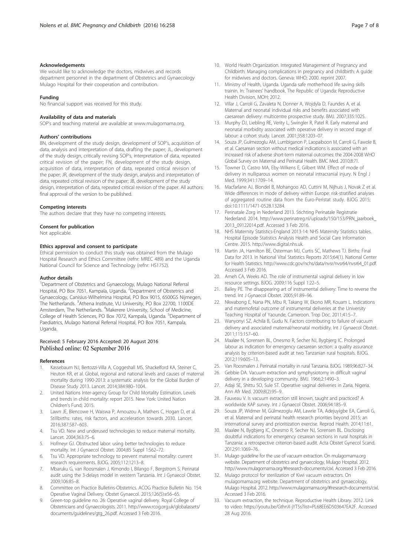#### <span id="page-6-0"></span>Acknowledgements

We would like to acknowledge the doctors, midwives and records department personnel in the department of Obstetrics and Gynaecology Mulago Hospital for their cooperation and contribution.

#### Funding

No financial support was received for this study.

#### Availability of data and materials

SOP's and teaching material are available at [www.mulagomama.org.](http://www.mulagomama.org)

# Authors' contributions

BN, development of the study design, development of SOP's, acquisition of data, analysis and interpretation of data, drafting the paper; JL, development of the study design, critically revising SOP's, interpretation of data, repeated critical revision of the paper; FN, development of the study design, acquisition of data, interpretation of data, repeated critical revision of the paper; JR, development of the study design, analysis and interpretation of data, repeated critical revision of the paper; JB, development of the study design, interpretation of data, repeated critical revision of the paper. All authors: final approval of the version to be published.

#### Competing interests

The authors declare that they have no competing interests.

#### Consent for publication

Not applicable.

#### Ethics approval and consent to participate

Ethical permission to conduct this study was obtained from the Mulago Hospital Research and Ethics Committee (refnr: MREC 489) and the Uganda National Council for Science and Technology (refnr: HS1752).

#### Author details

<sup>1</sup>Department of Obstetrics and Gynaecology, Mulago National Referral Hospital, PO Box 7051, Kampala, Uganda. <sup>2</sup> Department of Obstetrics and Gynaecology, Canisius-Wilhelmina Hospital, PO Box 9015, 6500GS Nijmegen, The Netherlands. <sup>3</sup>Athena Institute, VU University, PO Box 22700, 1100DE Amsterdam, The Netherlands. <sup>4</sup>Makerere University, School of Medicine, College of Health Sciences, PO Box 7072, Kampala, Uganda. <sup>5</sup>Department of Paediatrics, Mulago National Referral Hospital, PO Box 7051, Kampala, Uganda.

### Received: 5 February 2016 Accepted: 20 August 2016 Published online: 02 September 2016

#### References

- Kassebaum NJ, Bertozzi-Villa A, Coggeshall MS, Shackelford KA, Steiner C, Heuton KR, et al. Global, regional and national levels and causes of maternal mortality during 1990-2013: a systematic analysis for the Global Burden of Disease Study 2013. Lancet. 2014;384:980–1004.
- 2. United Nations Inter-agency Group for Child Mortality Estimation. Levels and trends in child mortality: report 2015. New York: United Nation Children's Fund; 2015.
- 3. Lawn JE, Blencowe H, Waiswa P, Amouzou A, Mathers C, Hogan D, et al. Stillbirths: rates, risk factors, and acceleration towards 2030. Lancet. 2016;387:587–603.
- 4. Tsu VD. New and underused technologies to reduce maternal mortality. Lancet. 2004;363:75–6.
- 5. Hofmeyr GJ. Obstructed labor: using better technologies to reduce mortality. Int J Gynaecol Obstet. 2004;85 Suppl 1:S62–72.
- Tsu VD. Appropriate technology to prevent maternal mortality: current research requirements. BJOG. 2005;112:1213–8.
- 7. Mbaruku G, van Roosmalen J, Kimondo I, Bilango F, Bergstrom S. Perinatal audit using the 3-delays model in western Tanzania. Int J Gynaecol Obstet. 2009;106:85–8.
- 8. Committee on Practice Bulletins-Obstetrics. ACOG Practice Bulletin No. 154: Operative Vaginal Delivery. Obstet Gynaecol. 2015;126(5):e56–65.
- Green-top guideline no. 26: Operative vaginal delivery. Royal College of Obstetricians and Gynaecologists. 2011. [http://www.rcog.org.uk/globalassets/](http://www.rcog.org.uk/globalassets/documents/guidelines/gtg_26.pdf) [documents/guidelines/gtg\\_26.pdf](http://www.rcog.org.uk/globalassets/documents/guidelines/gtg_26.pdf). Accessed 3 Feb 2016.
- 10. World Health Organization. Integrated Management of Pregnancy and Childbirth: Managing complications in pregnancy and childbirth: A guide for midwives and doctors. Geneva: WHO; 2000. reprint 2007.
- 11. Ministry of Health, Uganda. Uganda safe motherhood life saving skills trainin. In: Trainees' handbook. The Republic of Uganda: Reproductive Health Division, MOH; 2012.
- 12. Villar J, Carroli G, Zavaleta N, Donner A, Wojdyla D, Faundes A, et al. Maternal and neonatal individual risks and benefits associated with caesarean delivery: multicentre prospective study. BMJ. 2007;335:1025.
- 13. Murphy DJ, Liebling RE, Verity L, Swingler R, Patel R. Early maternal and neonatal morbidity associated with operative delivery in second stage of labour: a cohort study. Lancet. 2001;358:1203–07.
- 14. Souza JP, Gulmezoglu AM, Lumbiganon P, Laopaiboon M, Carroli G, Fawole B, et al. Caesarean section without medical indications is associated with an increased risk of adverse short-term maternal outcomes: the 2004-2008 WHO Global Survey on Maternal and Perinatal Health. BMC Med. 2010;8:71.
- 15. Towner D, Castro MA, Eby-Wilkens E, Gilbert WM. Effect of mode of delivery in nulliparous women on neonatal intracranial injury. N Engl J Med. 1999;341:1709–14.
- 16. Macfarlane AJ, Blondel B, Mohangoo AD, Cuttini M, Nijhuis J, Novak Z et al. Wide differences in mode of delivery within Europe: risk-stratified analyses of aggregated routine data from the Euro-Peristat study. BJOG 2015; doi[:10.1111/1471-0528.13284](http://dx.doi.org/10.1111/1471-0528.13284).
- 17. Perinatale Zorg in Nederland 2013. Stichting Perinatale Registratie Nederland. 2014. [http://www.perinatreg.nl/uploads/150/153/PRN\\_jaarboek\\_](http://www.perinatreg.nl/uploads/150/153/PRN_jaarboek_2013_09122014.pdf) [2013\\_09122014.pdf](http://www.perinatreg.nl/uploads/150/153/PRN_jaarboek_2013_09122014.pdf). Accessed 3 Feb 2016.
- 18. NHS Maternity Statistics-England 2013-14: NHS Maternity Statistics tables. Hospital Episode Statistics Analysis Health and Social Care Information Centre. 2015.<http://www.digital.nhs.uk>.
- 19. Martin JA, Hamilton BE, Osterman MJ, Curtis SC, Mathews TJ. Births: Final Data for 2013. In National Vital Statistics Reports 2015;64(1). National Center for Health Statistics. [http://www.cdc.gov/nchs/data/nvsr/nvsr64/nvsr64\\_01.pdf.](http://www.cdc.gov/nchs/data/nvsr/nvsr64/nvsr64_01.pdf) Accessed 3 Feb 2016.
- 20. Ameh CA, Weeks AD. The role of instrumental vaginal delivery in low resource settings. BJOG. 2009;116 Suppl 1:22–5.
- 21. Bailey PE. The disappearing art of instrumental delivery: Time to reverse the trend. Int J Gynaecol Obstet. 2005;91:89–96.
- 22. Nkwabong E, Nana PN, Mbu R, Takang W, Ekono MR, Kouam L. Indications and maternofetal outcome of instrumental deliveries at the University Teaching Hospital of Yaounde, Cameroon. Trop Doc. 2011;41:5–7.
- 23. Wanyonyi SZ, Achila B, Gudu N. Factors contributing to failure of vacuum delivery and associated maternal/neonatal morbidity. Int J Gynaecol Obstet. 2011;115:157–60.
- 24. Maaløe N, Sorensen BL, Onesmo R, Secher NJ, Bygbjerg IC. Prolonged labour as indication for emergency caesarean section: a quality assurance analysis by criterion-based audit at two Tanzanian rural hospitals. BJOG. 2012;119:605–13.
- 25. Van Roosmalen J. Perinatal mortality in rural Tanzania. BJOG. 1989;96:827–34.
- 26. Gebbie DA. Vacuum extraction and symphysiotomy in difficult vaginal delivery in a developing community. BMJ. 1966;2:1490–3.
- 27. Adaji SE, Shittu SO, Sule ST. Operative vaginal deliveries in Zaria, Nigeria. Ann Afr Med. 2009;8(2):95–9.
- 28. Fauveau V. Is vacuum extraction still known, taught and practiced? A worldwide KAP survey. Int J Gynaecol Obstet. 2006;94:185–9.
- 29. Souza JP, Widmer M, Gülmezoglu AM, Lawrie TA, Adejuyigbe EA, Carroli G, et al. Maternal and perinatal health research priorities beyond 2015; an international survey and prioritization exercise. Reprod Health. 2014;11:61.
- 30. Maaløe N, Bygbjerg IC, Onesmo R, Secher NJ, Sorensen BL. Disclosing doubtful indications for emergency cesarean sections in rural hospitals in Tanzania: a retrospective criterion-based audit. Acta Obstet Gynecol Scand. 2012;91:1069–76.
- 31. Mulago guideline for the use of vacuum extraction. On mulagomama.org website. Department of obstetrics and gynaecology, Mulago Hospital. 2012. [http://www.mulagomama.org/#!research-documents/cixl.](http://www.mulagomama.org/#!research-documents/cixl) Accessed 3 Feb 2016.
- 32. Mulago protocol for sterilization of Kiwi vacuum extractors. On mulagomama.org website. Department of obstetrics and gynaecology, Mulago Hospital. 2012.<http://www.mulagomama.org/#!research-documents/cixl>. Accessed 3 Feb 2016.
- 33. Vacuum extraction, the technique. Reproductive Health Library. 2012. Link to video:<https://youtu.be/GthnX-jYT5s?list=PL68EE6D503647EA2F>. Accessed 28 Aug 2016.